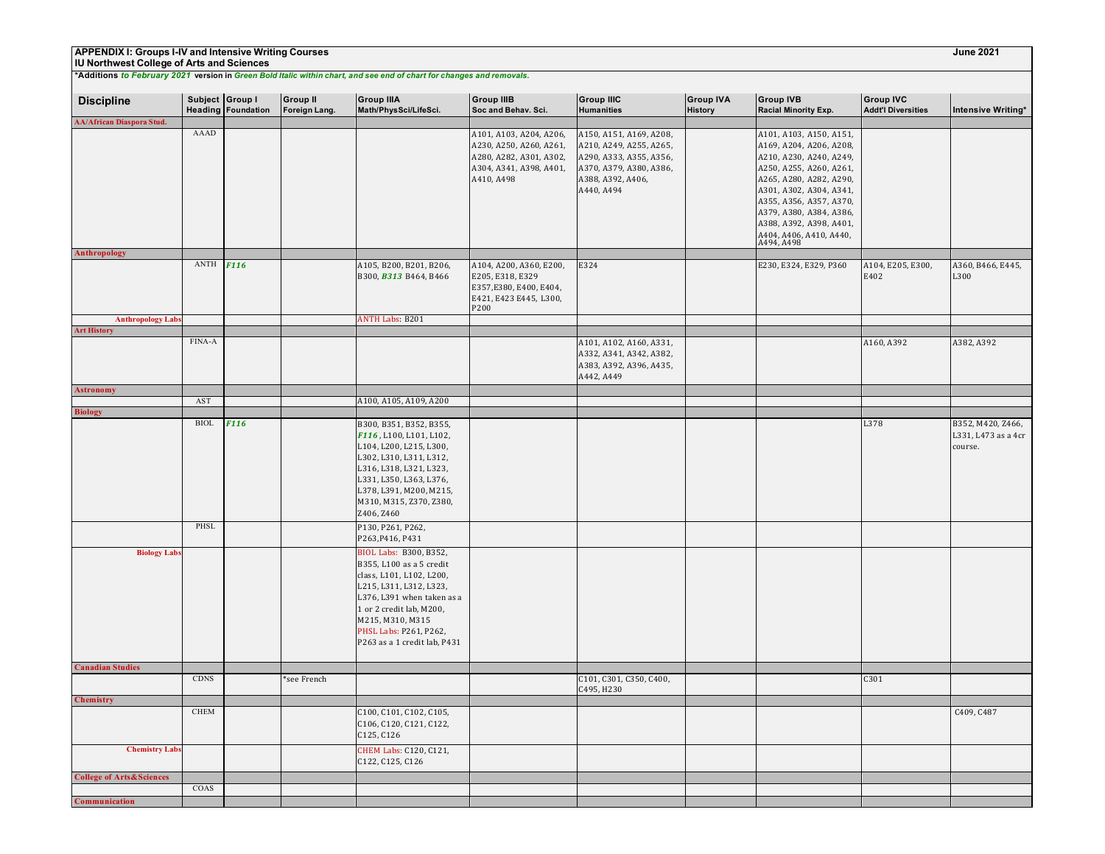# **IU Northwest College of Arts and Sciences**

| <b>Discipline</b>                   | Subject Group I | <b>Heading Foundation</b> | <b>Group II</b><br>Foreign Lang. | <b>Group IIIA</b><br>Math/PhysSci/LifeSci.                                                                                                                                                                                                        | <b>Group IIIB</b><br>Soc and Behav. Sci.                                                                               | <b>Group IIIC</b><br><b>Humanities</b>                                                                                                      | <b>Group IVA</b><br><b>History</b> | <b>Group IVB</b><br><b>Racial Minority Exp.</b>                                                                                                                                                                                                                                          | <b>Group IVC</b><br><b>Addt'l Diversities</b> | Intensive Writing*                                  |
|-------------------------------------|-----------------|---------------------------|----------------------------------|---------------------------------------------------------------------------------------------------------------------------------------------------------------------------------------------------------------------------------------------------|------------------------------------------------------------------------------------------------------------------------|---------------------------------------------------------------------------------------------------------------------------------------------|------------------------------------|------------------------------------------------------------------------------------------------------------------------------------------------------------------------------------------------------------------------------------------------------------------------------------------|-----------------------------------------------|-----------------------------------------------------|
| <b>AA/African Diaspora Stud.</b>    |                 |                           |                                  |                                                                                                                                                                                                                                                   |                                                                                                                        |                                                                                                                                             |                                    |                                                                                                                                                                                                                                                                                          |                                               |                                                     |
|                                     | AAAD            |                           |                                  |                                                                                                                                                                                                                                                   | A101, A103, A204, A206,<br>A230, A250, A260, A261,<br>A280, A282, A301, A302,<br>A304, A341, A398, A401,<br>A410, A498 | A150, A151, A169, A208,<br>A210, A249, A255, A265,<br>A290, A333, A355, A356,<br>A370, A379, A380, A386,<br>A388, A392, A406,<br>A440, A494 |                                    | A101, A103, A150, A151,<br>A169, A204, A206, A208,<br>A210, A230, A240, A249,<br>A250, A255, A260, A261,<br>A265, A280, A282, A290,<br>A301, A302, A304, A341,<br>A355, A356, A357, A370,<br>A379, A380, A384, A386,<br>A388, A392, A398, A401,<br>A404, A406, A410, A440,<br>A494, A498 |                                               |                                                     |
| Anthropology                        |                 |                           |                                  |                                                                                                                                                                                                                                                   |                                                                                                                        |                                                                                                                                             |                                    |                                                                                                                                                                                                                                                                                          |                                               |                                                     |
|                                     | ANTH            | <b>F116</b>               |                                  | A105, B200, B201, B206,<br>B300, B313 B464, B466                                                                                                                                                                                                  | A104, A200, A360, E200,<br>E205, E318, E329<br>E357, E380, E400, E404,<br>E421, E423 E445, L300,<br>P200               | E324                                                                                                                                        |                                    | E230, E324, E329, P360                                                                                                                                                                                                                                                                   | A104, E205, E300,<br>E402                     | A360, B466, E445,<br>L300                           |
| <b>Anthropology Labs</b>            |                 |                           |                                  | <b>ANTH Labs: B201</b>                                                                                                                                                                                                                            |                                                                                                                        |                                                                                                                                             |                                    |                                                                                                                                                                                                                                                                                          |                                               |                                                     |
| <b>Art History</b>                  |                 |                           |                                  |                                                                                                                                                                                                                                                   |                                                                                                                        |                                                                                                                                             |                                    |                                                                                                                                                                                                                                                                                          |                                               |                                                     |
|                                     | FINA-A          |                           |                                  |                                                                                                                                                                                                                                                   |                                                                                                                        | A101, A102, A160, A331,<br>A332, A341, A342, A382,<br>A383, A392, A396, A435,<br>A442, A449                                                 |                                    |                                                                                                                                                                                                                                                                                          | A160, A392                                    | A382, A392                                          |
| <b>Astronomy</b>                    |                 |                           |                                  |                                                                                                                                                                                                                                                   |                                                                                                                        |                                                                                                                                             |                                    |                                                                                                                                                                                                                                                                                          |                                               |                                                     |
|                                     | AST             |                           |                                  | A100, A105, A109, A200                                                                                                                                                                                                                            |                                                                                                                        |                                                                                                                                             |                                    |                                                                                                                                                                                                                                                                                          |                                               |                                                     |
| <b>Biology</b>                      | <b>BIOL</b>     |                           |                                  |                                                                                                                                                                                                                                                   |                                                                                                                        |                                                                                                                                             |                                    |                                                                                                                                                                                                                                                                                          |                                               |                                                     |
|                                     |                 | <b>F116</b>               |                                  | B300, B351, B352, B355,<br>F116, L100, L101, L102,<br>L104, L200, L215, L300,<br>L302, L310, L311, L312,<br>L316, L318, L321, L323,<br>L331, L350, L363, L376,<br>L378, L391, M200, M215,<br>M310, M315, Z370, Z380,<br>Z406, Z460                |                                                                                                                        |                                                                                                                                             |                                    |                                                                                                                                                                                                                                                                                          | L378                                          | B352, M420, Z466,<br>L331, L473 as a 4cr<br>course. |
|                                     | PHSL            |                           |                                  | P130, P261, P262,<br>P263, P416, P431                                                                                                                                                                                                             |                                                                                                                        |                                                                                                                                             |                                    |                                                                                                                                                                                                                                                                                          |                                               |                                                     |
| <b>Biology Labs</b>                 |                 |                           |                                  | BIOL Labs: B300, B352,<br>B355, L100 as a 5 credit<br>class, L101, L102, L200,<br>L215, L311, L312, L323,<br>L376, L391 when taken as a<br>1 or 2 credit lab, M200,<br>M215, M310, M315<br>PHSL Labs: P261, P262,<br>P263 as a 1 credit lab, P431 |                                                                                                                        |                                                                                                                                             |                                    |                                                                                                                                                                                                                                                                                          |                                               |                                                     |
| <b>Canadian Studies</b>             |                 |                           |                                  |                                                                                                                                                                                                                                                   |                                                                                                                        |                                                                                                                                             |                                    |                                                                                                                                                                                                                                                                                          |                                               |                                                     |
|                                     | <b>CDNS</b>     |                           | *see French                      |                                                                                                                                                                                                                                                   |                                                                                                                        | C101, C301, C350, C400,<br>C495, H230                                                                                                       |                                    |                                                                                                                                                                                                                                                                                          | C301                                          |                                                     |
| <b>Chemistry</b>                    |                 |                           |                                  |                                                                                                                                                                                                                                                   |                                                                                                                        |                                                                                                                                             |                                    |                                                                                                                                                                                                                                                                                          |                                               |                                                     |
|                                     | <b>CHEM</b>     |                           |                                  | C100, C101, C102, C105,<br>C106, C120, C121, C122,<br>C125, C126                                                                                                                                                                                  |                                                                                                                        |                                                                                                                                             |                                    |                                                                                                                                                                                                                                                                                          |                                               | C409, C487                                          |
| <b>Chemistry Labs</b>               |                 |                           |                                  | CHEM Labs: C120, C121,<br>C122, C125, C126                                                                                                                                                                                                        |                                                                                                                        |                                                                                                                                             |                                    |                                                                                                                                                                                                                                                                                          |                                               |                                                     |
| <b>College of Arts&amp;Sciences</b> |                 |                           |                                  |                                                                                                                                                                                                                                                   |                                                                                                                        |                                                                                                                                             |                                    |                                                                                                                                                                                                                                                                                          |                                               |                                                     |
|                                     | COAS            |                           |                                  |                                                                                                                                                                                                                                                   |                                                                                                                        |                                                                                                                                             |                                    |                                                                                                                                                                                                                                                                                          |                                               |                                                     |
| Communication                       |                 |                           |                                  |                                                                                                                                                                                                                                                   |                                                                                                                        |                                                                                                                                             |                                    |                                                                                                                                                                                                                                                                                          |                                               |                                                     |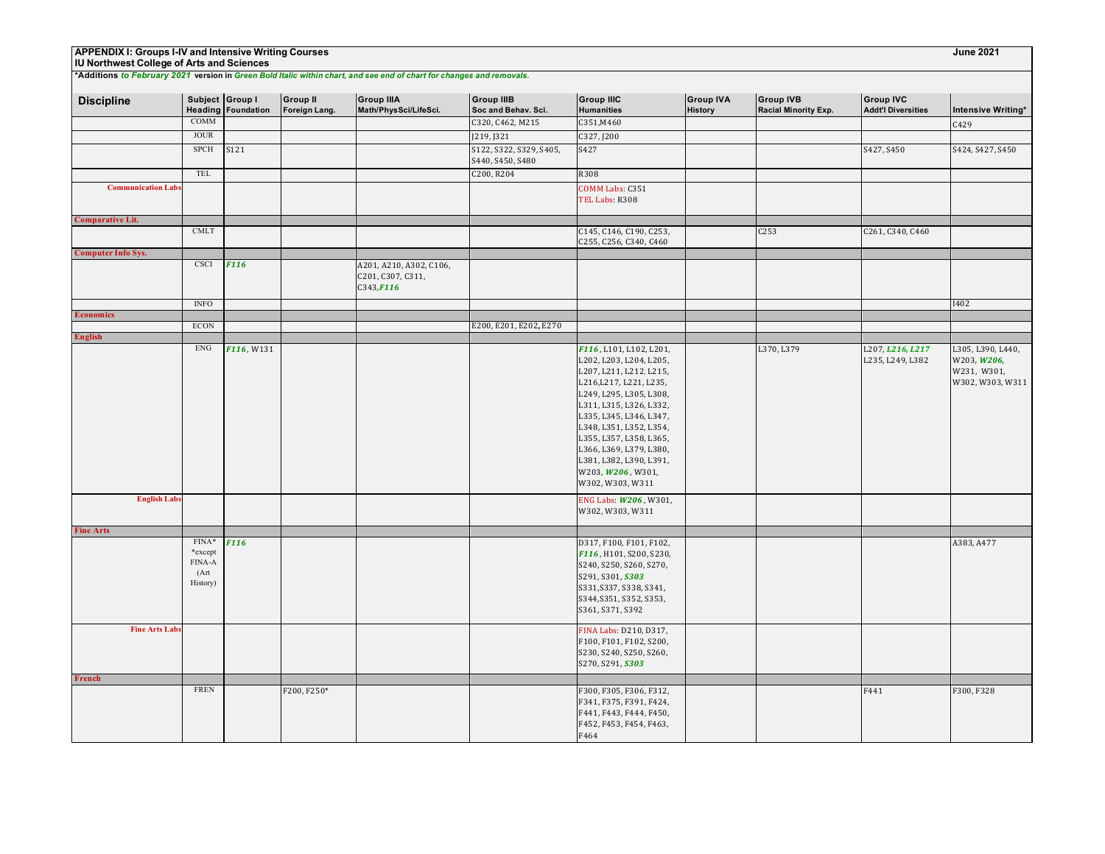# **IU Northwest College of Arts and Sciences**

| <b>Discipline</b>         | Subject Group I              | <b>Heading Foundation</b> | <b>Group II</b><br>Foreign Lang. | <b>Group IIIA</b><br>Math/PhysSci/LifeSci.                 | <b>Group IIIB</b><br>Soc and Behav. Sci.    | <b>Group IIIC</b><br><b>Humanities</b>                     | <b>Group IVA</b><br><b>History</b> | <b>Group IVB</b><br>Racial Minority Exp. | <b>Group IVC</b><br><b>Addt'l Diversities</b> | <b>Intensive Writing*</b>        |
|---------------------------|------------------------------|---------------------------|----------------------------------|------------------------------------------------------------|---------------------------------------------|------------------------------------------------------------|------------------------------------|------------------------------------------|-----------------------------------------------|----------------------------------|
|                           | <b>COMM</b>                  |                           |                                  |                                                            | C320, C462, M215                            | C351, M460                                                 |                                    |                                          |                                               | C429                             |
|                           | <b>JOUR</b>                  |                           |                                  |                                                            | J219, J321                                  | C327, J200                                                 |                                    |                                          |                                               |                                  |
|                           | SPCH                         | S121                      |                                  |                                                            | S122, S322, S329, S405,<br>S440, S450, S480 | S427                                                       |                                    |                                          | S427, S450                                    | S424, S427, S450                 |
|                           | <b>TEL</b>                   |                           |                                  |                                                            | C200, R204                                  | R308                                                       |                                    |                                          |                                               |                                  |
| <b>Communication Labs</b> |                              |                           |                                  |                                                            |                                             | COMM Labs: C351<br>TEL Labs: R308                          |                                    |                                          |                                               |                                  |
| <b>Comparative Lit.</b>   |                              |                           |                                  |                                                            |                                             |                                                            |                                    |                                          |                                               |                                  |
|                           | $\mathop{\rm CMLT}\nolimits$ |                           |                                  |                                                            |                                             | C145, C146, C190, C253,<br>C255, C256, C340, C460          |                                    | C253                                     | C261, C340, C460                              |                                  |
| <b>Computer Info Sys.</b> |                              |                           |                                  |                                                            |                                             |                                                            |                                    |                                          |                                               |                                  |
|                           | <b>CSCI</b>                  | <b>F116</b>               |                                  | A201, A210, A302, C106,<br>C201, C307, C311,<br>C343, F116 |                                             |                                                            |                                    |                                          |                                               |                                  |
|                           | <b>INFO</b>                  |                           |                                  |                                                            |                                             |                                                            |                                    |                                          |                                               | I402                             |
| <b>Economics</b>          |                              |                           |                                  |                                                            |                                             |                                                            |                                    |                                          |                                               |                                  |
|                           | <b>ECON</b>                  |                           |                                  |                                                            | E200, E201, E202, E270                      |                                                            |                                    |                                          |                                               |                                  |
| <b>English</b>            | ${\rm ENG}$                  | F116, W131                |                                  |                                                            |                                             | F116, L101, L102, L201,                                    |                                    | L370, L379                               | L207, L216, L217<br>L235, L249, L382          | L305, L390, L440,<br>W203, W206, |
|                           |                              |                           |                                  |                                                            |                                             | L202, L203, L204, L205,<br>L207, L211, L212, L215,         |                                    |                                          |                                               | W231, W301,                      |
|                           |                              |                           |                                  |                                                            |                                             | L216, L217, L221, L235,<br>L249, L295, L305, L308,         |                                    |                                          |                                               | W302, W303, W311                 |
|                           |                              |                           |                                  |                                                            |                                             | L311, L315, L326, L332,<br>L335, L345, L346, L347,         |                                    |                                          |                                               |                                  |
|                           |                              |                           |                                  |                                                            |                                             | L348, L351, L352, L354,<br>L355, L357, L358, L365,         |                                    |                                          |                                               |                                  |
|                           |                              |                           |                                  |                                                            |                                             | L366, L369, L379, L380,<br>L381, L382, L390, L391,         |                                    |                                          |                                               |                                  |
|                           |                              |                           |                                  |                                                            |                                             | W203, W206, W301,<br>W302, W303, W311                      |                                    |                                          |                                               |                                  |
| <b>English Labs</b>       |                              |                           |                                  |                                                            |                                             | ENG Labs: W206, W301,<br>W302, W303, W311                  |                                    |                                          |                                               |                                  |
|                           |                              |                           |                                  |                                                            |                                             |                                                            |                                    |                                          |                                               |                                  |
| <b>Fine Arts</b>          |                              |                           |                                  |                                                            |                                             |                                                            |                                    |                                          |                                               |                                  |
|                           | FINA*<br>*except             | F <sub>116</sub>          |                                  |                                                            |                                             | D317, F100, F101, F102,<br>F116, H101, S200, S230,         |                                    |                                          |                                               | A383, A477                       |
|                           | FINA-A<br>(Art               |                           |                                  |                                                            |                                             | S240, S250, S260, S270,<br>S291, S301, S303                |                                    |                                          |                                               |                                  |
|                           | History)                     |                           |                                  |                                                            |                                             | S331, S337, S338, S341,<br>S344, S351, S352, S353,         |                                    |                                          |                                               |                                  |
|                           |                              |                           |                                  |                                                            |                                             | S361, S371, S392                                           |                                    |                                          |                                               |                                  |
| <b>Fine Arts Labs</b>     |                              |                           |                                  |                                                            |                                             | FINA Labs: D210, D317,<br>F100, F101, F102, S200,          |                                    |                                          |                                               |                                  |
|                           |                              |                           |                                  |                                                            |                                             | S230, S240, S250, S260,<br>S270, S291, S303                |                                    |                                          |                                               |                                  |
| French                    |                              |                           |                                  |                                                            |                                             |                                                            |                                    |                                          |                                               |                                  |
|                           | <b>FREN</b>                  |                           | F200, F250*                      |                                                            |                                             | F300, F305, F306, F312,                                    |                                    |                                          | F441                                          | F300, F328                       |
|                           |                              |                           |                                  |                                                            |                                             | F341, F375, F391, F424,                                    |                                    |                                          |                                               |                                  |
|                           |                              |                           |                                  |                                                            |                                             | F441, F443, F444, F450,<br>F452, F453, F454, F463,<br>F464 |                                    |                                          |                                               |                                  |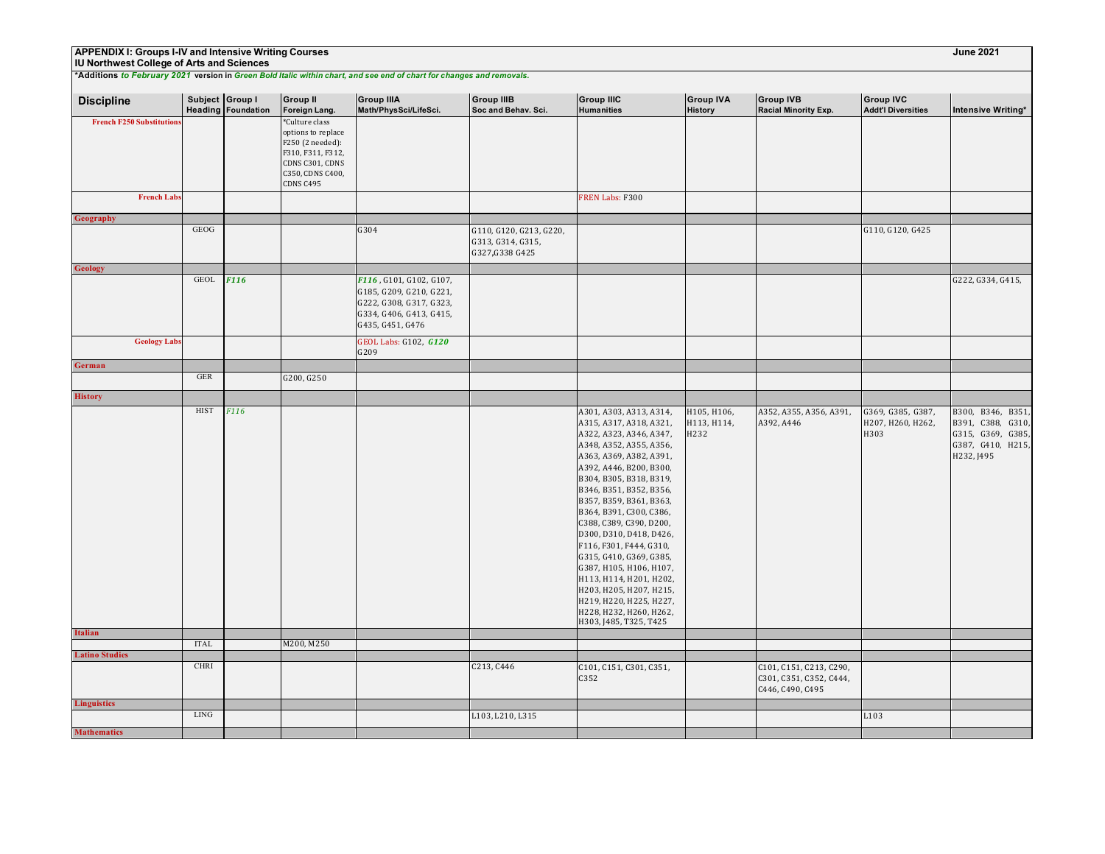## **IU Northwest College of Arts and Sciences**

| <b>Discipline</b>               | Subject Group I      | <b>Heading Foundation</b> | <b>Group II</b><br>Foreign Lang.                                                                                                  | <b>Group IIIA</b><br>Math/PhysSci/LifeSci.                                                                                   | <b>Group IIIB</b><br>Soc and Behav. Sci.                        | <b>Group IIIC</b><br><b>Humanities</b>                                                                                                                                                                                                                                                                                                                                                                                                                                                                                                                  | <b>Group IVA</b><br><b>History</b> | <b>Group IVB</b><br><b>Racial Minority Exp.</b>                        | <b>Group IVC</b><br><b>Addt'l Diversities</b>  | <b>Intensive Writing*</b>                                                                      |
|---------------------------------|----------------------|---------------------------|-----------------------------------------------------------------------------------------------------------------------------------|------------------------------------------------------------------------------------------------------------------------------|-----------------------------------------------------------------|---------------------------------------------------------------------------------------------------------------------------------------------------------------------------------------------------------------------------------------------------------------------------------------------------------------------------------------------------------------------------------------------------------------------------------------------------------------------------------------------------------------------------------------------------------|------------------------------------|------------------------------------------------------------------------|------------------------------------------------|------------------------------------------------------------------------------------------------|
| <b>French F250 Substitution</b> |                      |                           | *Culture class<br>options to replace<br>F250 (2 needed):<br>F310, F311, F312,<br>CDNS C301, CDNS<br>C350, CDNS C400,<br>CDNS C495 |                                                                                                                              |                                                                 |                                                                                                                                                                                                                                                                                                                                                                                                                                                                                                                                                         |                                    |                                                                        |                                                |                                                                                                |
| <b>French Labs</b>              |                      |                           |                                                                                                                                   |                                                                                                                              |                                                                 | FREN Labs: F300                                                                                                                                                                                                                                                                                                                                                                                                                                                                                                                                         |                                    |                                                                        |                                                |                                                                                                |
| Geography                       | <b>GEOG</b>          |                           |                                                                                                                                   |                                                                                                                              |                                                                 |                                                                                                                                                                                                                                                                                                                                                                                                                                                                                                                                                         |                                    |                                                                        |                                                |                                                                                                |
|                                 |                      |                           |                                                                                                                                   | G304                                                                                                                         | G110, G120, G213, G220,<br>G313, G314, G315,<br>G327, G338 G425 |                                                                                                                                                                                                                                                                                                                                                                                                                                                                                                                                                         |                                    |                                                                        | G110, G120, G425                               |                                                                                                |
| <b>Geology</b>                  |                      |                           |                                                                                                                                   |                                                                                                                              |                                                                 |                                                                                                                                                                                                                                                                                                                                                                                                                                                                                                                                                         |                                    |                                                                        |                                                |                                                                                                |
|                                 | <b>GEOL</b>          | <b>F116</b>               |                                                                                                                                   | F116, G101, G102, G107,<br>G185, G209, G210, G221,<br>G222, G308, G317, G323,<br>G334, G406, G413, G415,<br>G435, G451, G476 |                                                                 |                                                                                                                                                                                                                                                                                                                                                                                                                                                                                                                                                         |                                    |                                                                        |                                                | G222, G334, G415,                                                                              |
| <b>Geology Labs</b>             |                      |                           |                                                                                                                                   | GEOL Labs: G102, G120<br>G209                                                                                                |                                                                 |                                                                                                                                                                                                                                                                                                                                                                                                                                                                                                                                                         |                                    |                                                                        |                                                |                                                                                                |
| German                          |                      |                           |                                                                                                                                   |                                                                                                                              |                                                                 |                                                                                                                                                                                                                                                                                                                                                                                                                                                                                                                                                         |                                    |                                                                        |                                                |                                                                                                |
|                                 | $\operatorname{GER}$ |                           | G200, G250                                                                                                                        |                                                                                                                              |                                                                 |                                                                                                                                                                                                                                                                                                                                                                                                                                                                                                                                                         |                                    |                                                                        |                                                |                                                                                                |
| <b>History</b>                  |                      |                           |                                                                                                                                   |                                                                                                                              |                                                                 |                                                                                                                                                                                                                                                                                                                                                                                                                                                                                                                                                         |                                    |                                                                        |                                                |                                                                                                |
|                                 | <b>HIST</b>          | F116                      |                                                                                                                                   |                                                                                                                              |                                                                 | A301, A303, A313, A314,<br>A315, A317, A318, A321,<br>A322, A323, A346, A347,<br>A348, A352, A355, A356,<br>A363, A369, A382, A391,<br>A392, A446, B200, B300,<br>B304, B305, B318, B319,<br>B346, B351, B352, B356,<br>B357, B359, B361, B363,<br>B364, B391, C300, C386,<br>C388, C389, C390, D200,<br>D300, D310, D418, D426,<br>F116, F301, F444, G310,<br>G315, G410, G369, G385,<br>G387, H105, H106, H107,<br>H113, H114, H201, H202,<br>H203, H205, H207, H215,<br>H219, H220, H225, H227,<br>H228, H232, H260, H262,<br>H303, J485, T325, T425 | H105, H106,<br>H113, H114,<br>H232 | A352, A355, A356, A391,<br>A392, A446                                  | G369, G385, G387,<br>H207, H260, H262,<br>H303 | B300, B346, B351,<br>B391, C388, G310,<br>G315, G369, G385,<br>G387, G410, H215,<br>H232, J495 |
| <b>Italian</b>                  |                      |                           |                                                                                                                                   |                                                                                                                              |                                                                 |                                                                                                                                                                                                                                                                                                                                                                                                                                                                                                                                                         |                                    |                                                                        |                                                |                                                                                                |
| <b>Latino Studies</b>           | <b>ITAL</b>          |                           | M200, M250                                                                                                                        |                                                                                                                              |                                                                 |                                                                                                                                                                                                                                                                                                                                                                                                                                                                                                                                                         |                                    |                                                                        |                                                |                                                                                                |
|                                 | <b>CHRI</b>          |                           |                                                                                                                                   |                                                                                                                              | C213, C446                                                      | C101, C151, C301, C351,<br>C352                                                                                                                                                                                                                                                                                                                                                                                                                                                                                                                         |                                    | C101, C151, C213, C290,<br>C301, C351, C352, C444,<br>C446, C490, C495 |                                                |                                                                                                |
| <b>Linguistics</b>              |                      |                           |                                                                                                                                   |                                                                                                                              |                                                                 |                                                                                                                                                                                                                                                                                                                                                                                                                                                                                                                                                         |                                    |                                                                        |                                                |                                                                                                |
|                                 | <b>LING</b>          |                           |                                                                                                                                   |                                                                                                                              | L103, L210, L315                                                |                                                                                                                                                                                                                                                                                                                                                                                                                                                                                                                                                         |                                    |                                                                        | L103                                           |                                                                                                |
| <b>Mathematics</b>              |                      |                           |                                                                                                                                   |                                                                                                                              |                                                                 |                                                                                                                                                                                                                                                                                                                                                                                                                                                                                                                                                         |                                    |                                                                        |                                                |                                                                                                |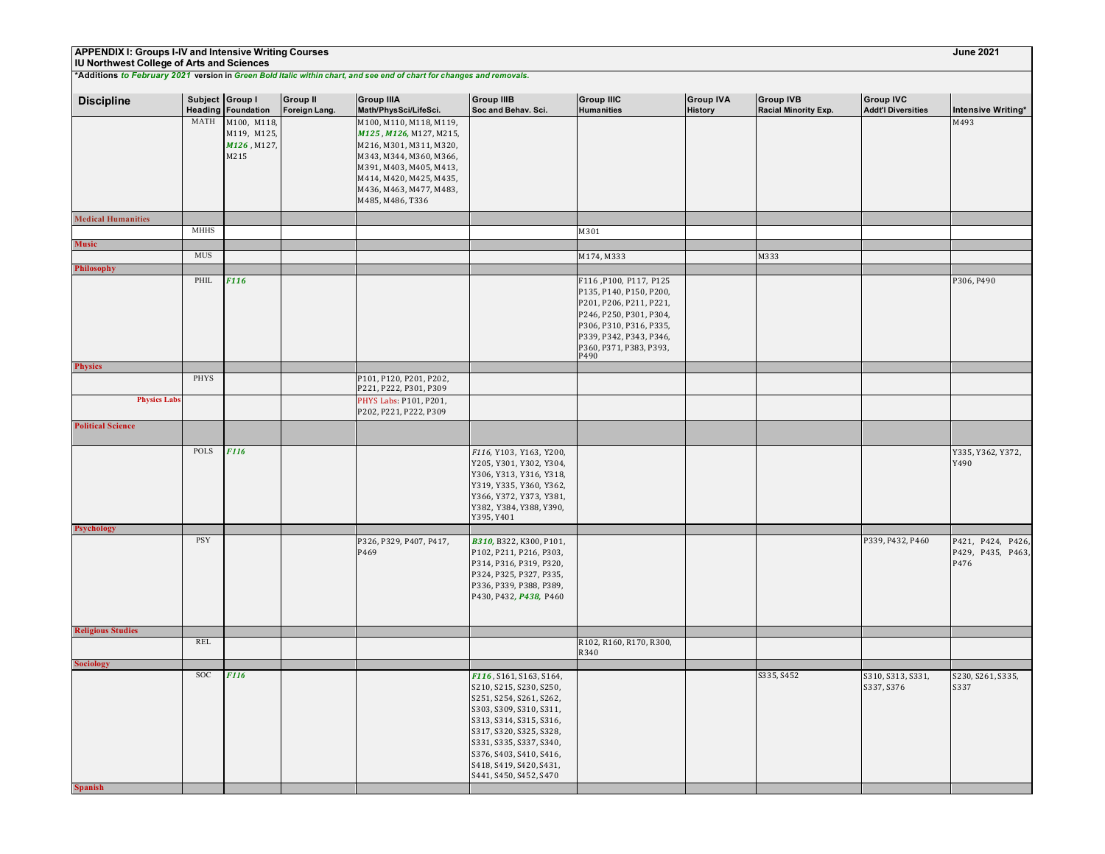## **IU Northwest College of Arts and Sciences**

| <b>Discipline</b>         | Subject Group I | <b>Heading Foundation</b>                         | <b>Group II</b><br>Foreign Lang. | <b>Group IIIA</b><br>Math/PhysSci/LifeSci.                                                                                                                                                                    | <b>Group IIIB</b><br>Soc and Behav. Sci.                                                                                                                                                                                                                                  | <b>Group IIIC</b><br><b>Humanities</b>                                                                                                                                                           | <b>Group IVA</b><br><b>History</b> | <b>Group IVB</b><br>Racial Minority Exp. | <b>Group IVC</b><br><b>Addt'l Diversities</b> | Intensive Writing*                                |
|---------------------------|-----------------|---------------------------------------------------|----------------------------------|---------------------------------------------------------------------------------------------------------------------------------------------------------------------------------------------------------------|---------------------------------------------------------------------------------------------------------------------------------------------------------------------------------------------------------------------------------------------------------------------------|--------------------------------------------------------------------------------------------------------------------------------------------------------------------------------------------------|------------------------------------|------------------------------------------|-----------------------------------------------|---------------------------------------------------|
|                           | MATH            | M100, M118,<br>M119, M125,<br>M126, M127,<br>M215 |                                  | M100, M110, M118, M119,<br>M125, M126, M127, M215,<br>M216, M301, M311, M320,<br>M343, M344, M360, M366,<br>M391, M403, M405, M413,<br>M414, M420, M425, M435,<br>M436, M463, M477, M483,<br>M485, M486, T336 |                                                                                                                                                                                                                                                                           |                                                                                                                                                                                                  |                                    |                                          |                                               | M493                                              |
| <b>Medical Humanities</b> |                 |                                                   |                                  |                                                                                                                                                                                                               |                                                                                                                                                                                                                                                                           |                                                                                                                                                                                                  |                                    |                                          |                                               |                                                   |
|                           | <b>MHHS</b>     |                                                   |                                  |                                                                                                                                                                                                               |                                                                                                                                                                                                                                                                           | M301                                                                                                                                                                                             |                                    |                                          |                                               |                                                   |
| Music                     | MUS             |                                                   |                                  |                                                                                                                                                                                                               |                                                                                                                                                                                                                                                                           |                                                                                                                                                                                                  |                                    | M333                                     |                                               |                                                   |
| Philosophy                |                 |                                                   |                                  |                                                                                                                                                                                                               |                                                                                                                                                                                                                                                                           | M174, M333                                                                                                                                                                                       |                                    |                                          |                                               |                                                   |
|                           | PHIL            | F116                                              |                                  |                                                                                                                                                                                                               |                                                                                                                                                                                                                                                                           | F116, P100, P117, P125<br>P135, P140, P150, P200,<br>P201, P206, P211, P221,<br>P246, P250, P301, P304,<br>P306, P310, P316, P335,<br>P339, P342, P343, P346,<br>P360, P371, P383, P393,<br>P490 |                                    |                                          |                                               | P306, P490                                        |
| <b>Physics</b>            |                 |                                                   |                                  |                                                                                                                                                                                                               |                                                                                                                                                                                                                                                                           |                                                                                                                                                                                                  |                                    |                                          |                                               |                                                   |
|                           | PHYS            |                                                   |                                  | P101, P120, P201, P202,<br>P221, P222, P301, P309                                                                                                                                                             |                                                                                                                                                                                                                                                                           |                                                                                                                                                                                                  |                                    |                                          |                                               |                                                   |
| <b>Physics Labs</b>       |                 |                                                   |                                  | PHYS Labs: P101, P201,<br>P202, P221, P222, P309                                                                                                                                                              |                                                                                                                                                                                                                                                                           |                                                                                                                                                                                                  |                                    |                                          |                                               |                                                   |
| <b>Political Science</b>  |                 |                                                   |                                  |                                                                                                                                                                                                               |                                                                                                                                                                                                                                                                           |                                                                                                                                                                                                  |                                    |                                          |                                               |                                                   |
|                           | POLS            | <b>F116</b>                                       |                                  |                                                                                                                                                                                                               | F116, Y103, Y163, Y200,<br>Y205, Y301, Y302, Y304,<br>Y306, Y313, Y316, Y318,<br>Y319, Y335, Y360, Y362,<br>Y366, Y372, Y373, Y381,<br>Y382, Y384, Y388, Y390,<br>Y395, Y401                                                                                              |                                                                                                                                                                                                  |                                    |                                          |                                               | Y335, Y362, Y372,<br>Y490                         |
| <b>Psychology</b>         |                 |                                                   |                                  |                                                                                                                                                                                                               |                                                                                                                                                                                                                                                                           |                                                                                                                                                                                                  |                                    |                                          |                                               |                                                   |
|                           | PSY             |                                                   |                                  | P326, P329, P407, P417,<br>P469                                                                                                                                                                               | B310, B322, K300, P101,<br>P102, P211, P216, P303,<br>P314, P316, P319, P320,<br>P324, P325, P327, P335,<br>P336, P339, P388, P389,<br>P430, P432, P438, P460                                                                                                             |                                                                                                                                                                                                  |                                    |                                          | P339, P432, P460                              | P424, P426,<br>P421,<br>P429, P435, P463,<br>P476 |
| <b>Religious Studies</b>  |                 |                                                   |                                  |                                                                                                                                                                                                               |                                                                                                                                                                                                                                                                           |                                                                                                                                                                                                  |                                    |                                          |                                               |                                                   |
|                           | <b>REL</b>      |                                                   |                                  |                                                                                                                                                                                                               |                                                                                                                                                                                                                                                                           | R102, R160, R170, R300,<br>R340                                                                                                                                                                  |                                    |                                          |                                               |                                                   |
| <b>Sociology</b>          |                 |                                                   |                                  |                                                                                                                                                                                                               |                                                                                                                                                                                                                                                                           |                                                                                                                                                                                                  |                                    |                                          |                                               |                                                   |
| <b>Spanish</b>            | SOC             | <b>F116</b>                                       |                                  |                                                                                                                                                                                                               | F116, S161, S163, S164,<br>S210, S215, S230, S250,<br>S251, S254, S261, S262,<br>S303, S309, S310, S311,<br>S313, S314, S315, S316,<br>S317, S320, S325, S328,<br>S331, S335, S337, S340,<br>S376, S403, S410, S416,<br>S418, S419, S420, S431,<br>S441, S450, S452, S470 |                                                                                                                                                                                                  |                                    | S335, S452                               | S310, S313, S331,<br>S337, S376               | S230, S261, S335,<br>S337                         |